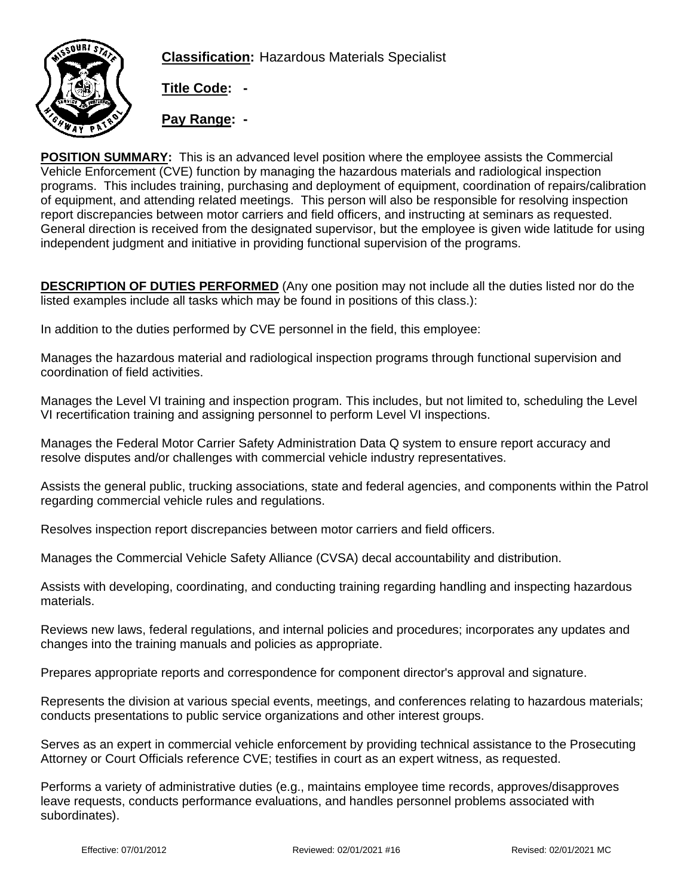

**Classification:** Hazardous Materials Specialist

**Title Code: -**

**Pay Range: -**

**POSITION SUMMARY:** This is an advanced level position where the employee assists the Commercial Vehicle Enforcement (CVE) function by managing the hazardous materials and radiological inspection programs. This includes training, purchasing and deployment of equipment, coordination of repairs/calibration of equipment, and attending related meetings. This person will also be responsible for resolving inspection report discrepancies between motor carriers and field officers, and instructing at seminars as requested. General direction is received from the designated supervisor, but the employee is given wide latitude for using independent judgment and initiative in providing functional supervision of the programs.

**DESCRIPTION OF DUTIES PERFORMED** (Any one position may not include all the duties listed nor do the listed examples include all tasks which may be found in positions of this class.):

In addition to the duties performed by CVE personnel in the field, this employee:

Manages the hazardous material and radiological inspection programs through functional supervision and coordination of field activities.

Manages the Level VI training and inspection program. This includes, but not limited to, scheduling the Level VI recertification training and assigning personnel to perform Level VI inspections.

Manages the Federal Motor Carrier Safety Administration Data Q system to ensure report accuracy and resolve disputes and/or challenges with commercial vehicle industry representatives.

Assists the general public, trucking associations, state and federal agencies, and components within the Patrol regarding commercial vehicle rules and regulations.

Resolves inspection report discrepancies between motor carriers and field officers.

Manages the Commercial Vehicle Safety Alliance (CVSA) decal accountability and distribution.

Assists with developing, coordinating, and conducting training regarding handling and inspecting hazardous materials.

Reviews new laws, federal regulations, and internal policies and procedures; incorporates any updates and changes into the training manuals and policies as appropriate.

Prepares appropriate reports and correspondence for component director's approval and signature.

Represents the division at various special events, meetings, and conferences relating to hazardous materials; conducts presentations to public service organizations and other interest groups.

Serves as an expert in commercial vehicle enforcement by providing technical assistance to the Prosecuting Attorney or Court Officials reference CVE; testifies in court as an expert witness, as requested.

Performs a variety of administrative duties (e.g., maintains employee time records, approves/disapproves leave requests, conducts performance evaluations, and handles personnel problems associated with subordinates).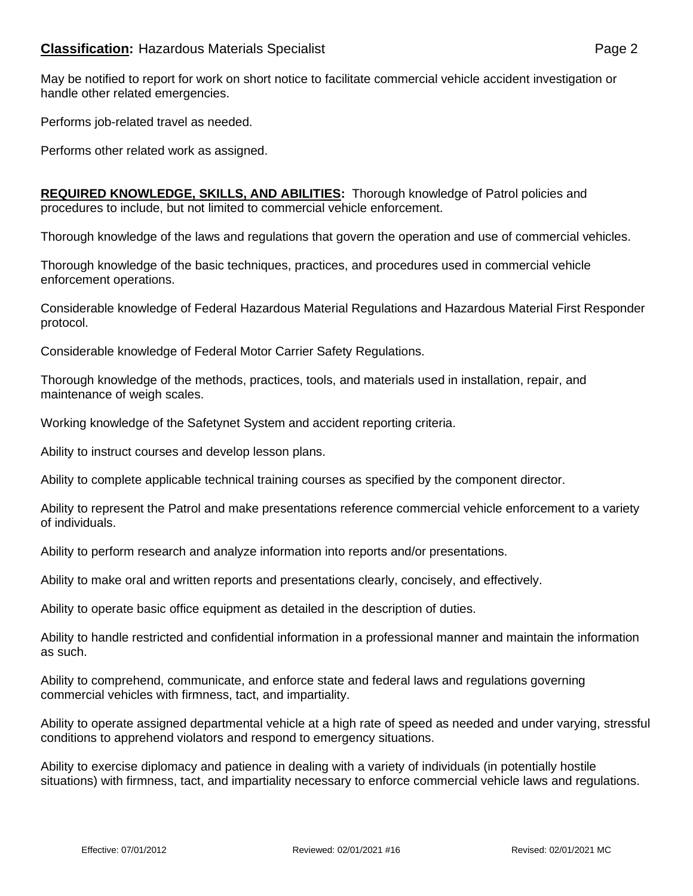May be notified to report for work on short notice to facilitate commercial vehicle accident investigation or handle other related emergencies.

Performs job-related travel as needed.

Performs other related work as assigned.

**REQUIRED KNOWLEDGE, SKILLS, AND ABILITIES:** Thorough knowledge of Patrol policies and procedures to include, but not limited to commercial vehicle enforcement.

Thorough knowledge of the laws and regulations that govern the operation and use of commercial vehicles.

Thorough knowledge of the basic techniques, practices, and procedures used in commercial vehicle enforcement operations.

Considerable knowledge of Federal Hazardous Material Regulations and Hazardous Material First Responder protocol.

Considerable knowledge of Federal Motor Carrier Safety Regulations.

Thorough knowledge of the methods, practices, tools, and materials used in installation, repair, and maintenance of weigh scales.

Working knowledge of the Safetynet System and accident reporting criteria.

Ability to instruct courses and develop lesson plans.

Ability to complete applicable technical training courses as specified by the component director.

Ability to represent the Patrol and make presentations reference commercial vehicle enforcement to a variety of individuals.

Ability to perform research and analyze information into reports and/or presentations.

Ability to make oral and written reports and presentations clearly, concisely, and effectively.

Ability to operate basic office equipment as detailed in the description of duties.

Ability to handle restricted and confidential information in a professional manner and maintain the information as such.

Ability to comprehend, communicate, and enforce state and federal laws and regulations governing commercial vehicles with firmness, tact, and impartiality.

Ability to operate assigned departmental vehicle at a high rate of speed as needed and under varying, stressful conditions to apprehend violators and respond to emergency situations.

Ability to exercise diplomacy and patience in dealing with a variety of individuals (in potentially hostile situations) with firmness, tact, and impartiality necessary to enforce commercial vehicle laws and regulations.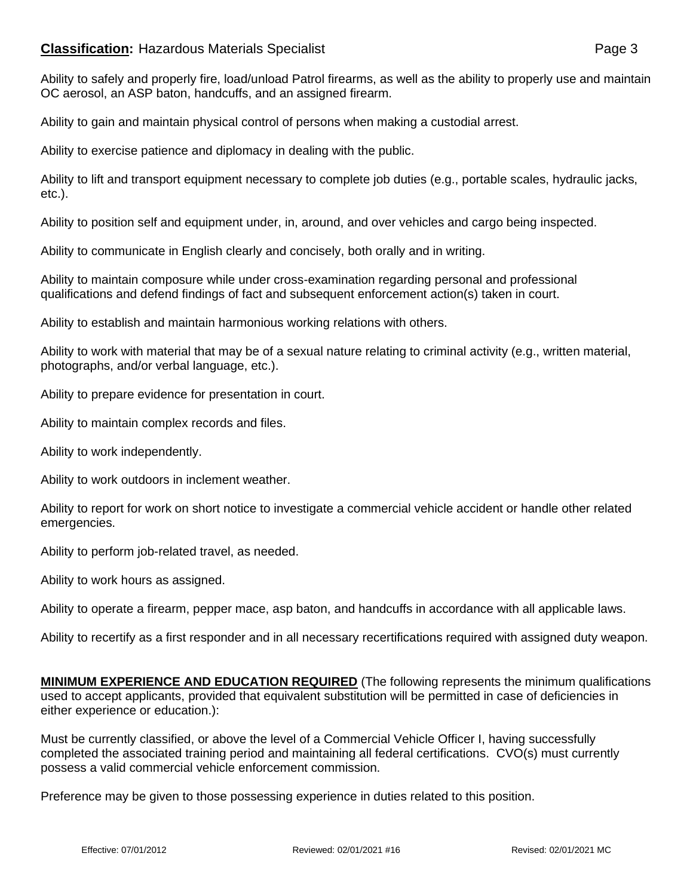## **Classification:** Hazardous Materials Specialist **Classification:** Page 3

Ability to safely and properly fire, load/unload Patrol firearms, as well as the ability to properly use and maintain OC aerosol, an ASP baton, handcuffs, and an assigned firearm.

Ability to gain and maintain physical control of persons when making a custodial arrest.

Ability to exercise patience and diplomacy in dealing with the public.

Ability to lift and transport equipment necessary to complete job duties (e.g., portable scales, hydraulic jacks, etc.).

Ability to position self and equipment under, in, around, and over vehicles and cargo being inspected.

Ability to communicate in English clearly and concisely, both orally and in writing.

Ability to maintain composure while under cross-examination regarding personal and professional qualifications and defend findings of fact and subsequent enforcement action(s) taken in court.

Ability to establish and maintain harmonious working relations with others.

Ability to work with material that may be of a sexual nature relating to criminal activity (e.g., written material, photographs, and/or verbal language, etc.).

Ability to prepare evidence for presentation in court.

Ability to maintain complex records and files.

Ability to work independently.

Ability to work outdoors in inclement weather.

Ability to report for work on short notice to investigate a commercial vehicle accident or handle other related emergencies.

Ability to perform job-related travel, as needed.

Ability to work hours as assigned.

Ability to operate a firearm, pepper mace, asp baton, and handcuffs in accordance with all applicable laws.

Ability to recertify as a first responder and in all necessary recertifications required with assigned duty weapon.

**MINIMUM EXPERIENCE AND EDUCATION REQUIRED** (The following represents the minimum qualifications used to accept applicants, provided that equivalent substitution will be permitted in case of deficiencies in either experience or education.):

Must be currently classified, or above the level of a Commercial Vehicle Officer I, having successfully completed the associated training period and maintaining all federal certifications. CVO(s) must currently possess a valid commercial vehicle enforcement commission.

Preference may be given to those possessing experience in duties related to this position.